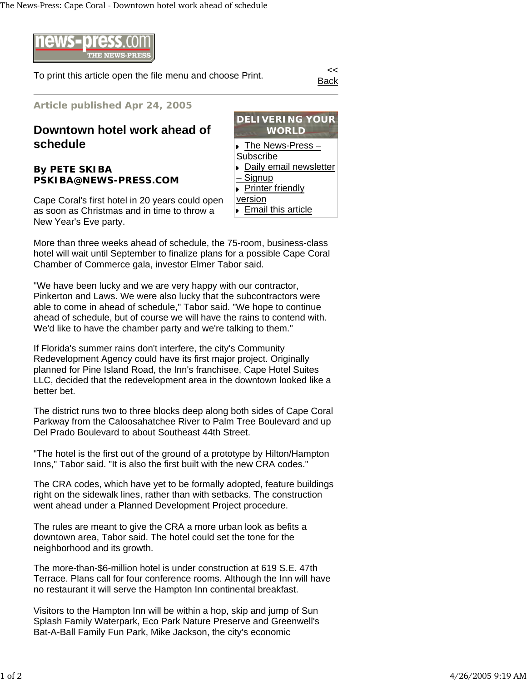

To print this article open the file menu and choose Print.

Back

**Article published Apr 24, 2005**

## **Downtown hotel work ahead of schedule**

## **By PETE SKIBA PSKIBA@NEWS-PRESS.COM**

Cape Coral's first hotel in 20 years could open as soon as Christmas and in time to throw a New Year's Eve party.



More than three weeks ahead of schedule, the 75-room, business-class hotel will wait until September to finalize plans for a possible Cape Coral Chamber of Commerce gala, investor Elmer Tabor said.

"We have been lucky and we are very happy with our contractor, Pinkerton and Laws. We were also lucky that the subcontractors were able to come in ahead of schedule," Tabor said. "We hope to continue ahead of schedule, but of course we will have the rains to contend with. We'd like to have the chamber party and we're talking to them."

If Florida's summer rains don't interfere, the city's Community Redevelopment Agency could have its first major project. Originally planned for Pine Island Road, the Inn's franchisee, Cape Hotel Suites LLC, decided that the redevelopment area in the downtown looked like a better bet.

The district runs two to three blocks deep along both sides of Cape Coral Parkway from the Caloosahatchee River to Palm Tree Boulevard and up Del Prado Boulevard to about Southeast 44th Street.

"The hotel is the first out of the ground of a prototype by Hilton/Hampton Inns," Tabor said. "It is also the first built with the new CRA codes."

The CRA codes, which have yet to be formally adopted, feature buildings right on the sidewalk lines, rather than with setbacks. The construction went ahead under a Planned Development Project procedure.

The rules are meant to give the CRA a more urban look as befits a downtown area, Tabor said. The hotel could set the tone for the neighborhood and its growth.

The more-than-\$6-million hotel is under construction at 619 S.E. 47th Terrace. Plans call for four conference rooms. Although the Inn will have no restaurant it will serve the Hampton Inn continental breakfast.

Visitors to the Hampton Inn will be within a hop, skip and jump of Sun Splash Family Waterpark, Eco Park Nature Preserve and Greenwell's Bat-A-Ball Family Fun Park, Mike Jackson, the city's economic